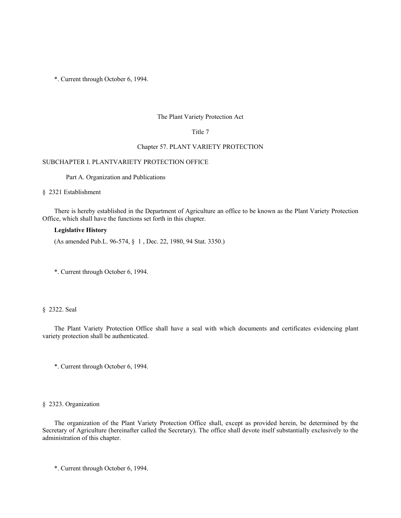### The Plant Variety Protection Act

## Title 7

## Chapter 57. PLANT VARIETY PROTECTION

## SUBCHAPTER I. PLANTVARIETY PROTECTION OFFICE

Part A. Organization and Publications

§ 2321 Establishment

There is hereby established in the Department of Agriculture an office to be known as the Plant Variety Protection Office, which shall have the functions set forth in this chapter.

## **Legislative History**

(As amended Pub.L. 96-574, § 1 , Dec. 22, 1980, 94 Stat. 3350.)

\*. Current through October 6, 1994.

## § 2322. Seal

The Plant Variety Protection Office shall have a seal with which documents and certificates evidencing plant variety protection shall be authenticated.

\*. Current through October 6, 1994.

# § 2323. Organization

The organization of the Plant Variety Protection Office shall, except as provided herein, be determined by the Secretary of Agriculture (hereinafter called the Secretary). The office shall devote itself substantially exclusively to the administration of this chapter.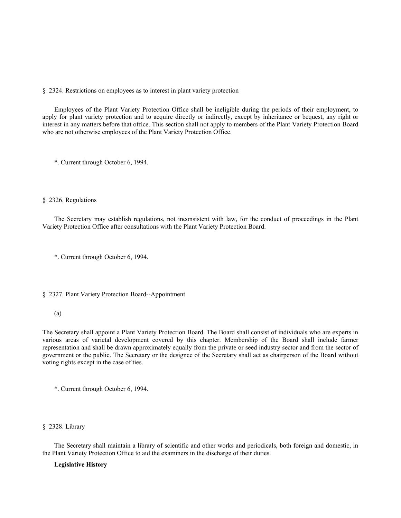§ 2324. Restrictions on employees as to interest in plant variety protection

Employees of the Plant Variety Protection Office shall be ineligible during the periods of their employment, to apply for plant variety protection and to acquire directly or indirectly, except by inheritance or bequest, any right or interest in any matters before that office. This section shall not apply to members of the Plant Variety Protection Board who are not otherwise employees of the Plant Variety Protection Office.

\*. Current through October 6, 1994.

#### § 2326. Regulations

The Secretary may establish regulations, not inconsistent with law, for the conduct of proceedings in the Plant Variety Protection Office after consultations with the Plant Variety Protection Board.

\*. Current through October 6, 1994.

### § 2327. Plant Variety Protection Board--Appointment

## (a)

The Secretary shall appoint a Plant Variety Protection Board. The Board shall consist of individuals who are experts in various areas of varietal development covered by this chapter. Membership of the Board shall include farmer representation and shall be drawn approximately equally from the private or seed industry sector and from the sector of government or the public. The Secretary or the designee of the Secretary shall act as chairperson of the Board without voting rights except in the case of ties.

\*. Current through October 6, 1994.

### § 2328. Library

The Secretary shall maintain a library of scientific and other works and periodicals, both foreign and domestic, in the Plant Variety Protection Office to aid the examiners in the discharge of their duties.

## **Legislative History**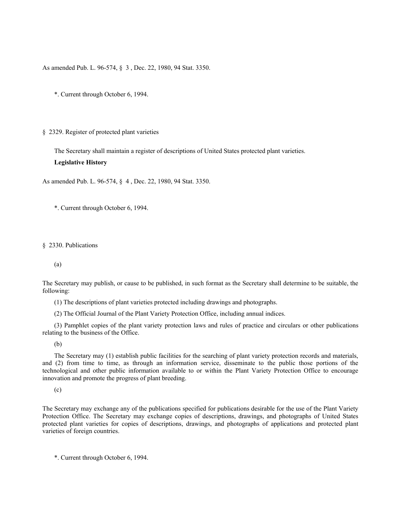As amended Pub. L. 96-574, § 3 , Dec. 22, 1980, 94 Stat. 3350.

\*. Current through October 6, 1994.

#### § 2329. Register of protected plant varieties

The Secretary shall maintain a register of descriptions of United States protected plant varieties.

## **Legislative History**

As amended Pub. L. 96-574, § 4 , Dec. 22, 1980, 94 Stat. 3350.

\*. Current through October 6, 1994.

#### § 2330. Publications

(a)

The Secretary may publish, or cause to be published, in such format as the Secretary shall determine to be suitable, the following:

(1) The descriptions of plant varieties protected including drawings and photographs.

(2) The Official Journal of the Plant Variety Protection Office, including annual indices.

(3) Pamphlet copies of the plant variety protection laws and rules of practice and circulars or other publications relating to the business of the Office.

(b)

The Secretary may (1) establish public facilities for the searching of plant variety protection records and materials, and (2) from time to time, as through an information service, disseminate to the public those portions of the technological and other public information available to or within the Plant Variety Protection Office to encourage innovation and promote the progress of plant breeding.

(c)

The Secretary may exchange any of the publications specified for publications desirable for the use of the Plant Variety Protection Office. The Secretary may exchange copies of descriptions, drawings, and photographs of United States protected plant varieties for copies of descriptions, drawings, and photographs of applications and protected plant varieties of foreign countries.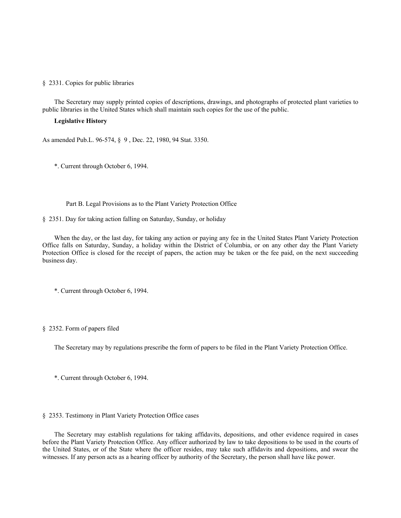#### § 2331. Copies for public libraries

The Secretary may supply printed copies of descriptions, drawings, and photographs of protected plant varieties to public libraries in the United States which shall maintain such copies for the use of the public.

## **Legislative History**

As amended Pub.L. 96-574, § 9 , Dec. 22, 1980, 94 Stat. 3350.

\*. Current through October 6, 1994.

Part B. Legal Provisions as to the Plant Variety Protection Office

§ 2351. Day for taking action falling on Saturday, Sunday, or holiday

When the day, or the last day, for taking any action or paying any fee in the United States Plant Variety Protection Office falls on Saturday, Sunday, a holiday within the District of Columbia, or on any other day the Plant Variety Protection Office is closed for the receipt of papers, the action may be taken or the fee paid, on the next succeeding business day.

\*. Current through October 6, 1994.

# § 2352. Form of papers filed

The Secretary may by regulations prescribe the form of papers to be filed in the Plant Variety Protection Office.

\*. Current through October 6, 1994.

## § 2353. Testimony in Plant Variety Protection Office cases

The Secretary may establish regulations for taking affidavits, depositions, and other evidence required in cases before the Plant Variety Protection Office. Any officer authorized by law to take depositions to be used in the courts of the United States, or of the State where the officer resides, may take such affidavits and depositions, and swear the witnesses. If any person acts as a hearing officer by authority of the Secretary, the person shall have like power.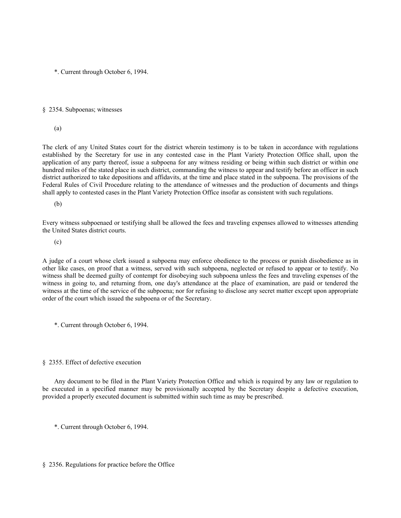#### § 2354. Subpoenas; witnesses

(a)

The clerk of any United States court for the district wherein testimony is to be taken in accordance with regulations established by the Secretary for use in any contested case in the Plant Variety Protection Office shall, upon the application of any party thereof, issue a subpoena for any witness residing or being within such district or within one hundred miles of the stated place in such district, commanding the witness to appear and testify before an officer in such district authorized to take depositions and affidavits, at the time and place stated in the subpoena. The provisions of the Federal Rules of Civil Procedure relating to the attendance of witnesses and the production of documents and things shall apply to contested cases in the Plant Variety Protection Office insofar as consistent with such regulations.

(b)

Every witness subpoenaed or testifying shall be allowed the fees and traveling expenses allowed to witnesses attending the United States district courts.

(c)

A judge of a court whose clerk issued a subpoena may enforce obedience to the process or punish disobedience as in other like cases, on proof that a witness, served with such subpoena, neglected or refused to appear or to testify. No witness shall be deemed guilty of contempt for disobeying such subpoena unless the fees and traveling expenses of the witness in going to, and returning from, one day's attendance at the place of examination, are paid or tendered the witness at the time of the service of the subpoena; nor for refusing to disclose any secret matter except upon appropriate order of the court which issued the subpoena or of the Secretary.

\*. Current through October 6, 1994.

## § 2355. Effect of defective execution

Any document to be filed in the Plant Variety Protection Office and which is required by any law or regulation to be executed in a specified manner may be provisionally accepted by the Secretary despite a defective execution, provided a properly executed document is submitted within such time as may be prescribed.

\*. Current through October 6, 1994.

### § 2356. Regulations for practice before the Office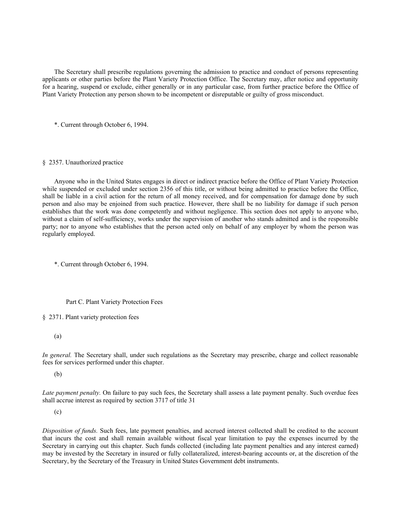The Secretary shall prescribe regulations governing the admission to practice and conduct of persons representing applicants or other parties before the Plant Variety Protection Office. The Secretary may, after notice and opportunity for a hearing, suspend or exclude, either generally or in any particular case, from further practice before the Office of Plant Variety Protection any person shown to be incompetent or disreputable or guilty of gross misconduct.

\*. Current through October 6, 1994.

## § 2357. Unauthorized practice

Anyone who in the United States engages in direct or indirect practice before the Office of Plant Variety Protection while suspended or excluded under section 2356 of this title, or without being admitted to practice before the Office, shall be liable in a civil action for the return of all money received, and for compensation for damage done by such person and also may be enjoined from such practice. However, there shall be no liability for damage if such person establishes that the work was done competently and without negligence. This section does not apply to anyone who, without a claim of self-sufficiency, works under the supervision of another who stands admitted and is the responsible party; nor to anyone who establishes that the person acted only on behalf of any employer by whom the person was regularly employed.

\*. Current through October 6, 1994.

## Part C. Plant Variety Protection Fees

§ 2371. Plant variety protection fees

(a)

*In general.* The Secretary shall, under such regulations as the Secretary may prescribe, charge and collect reasonable fees for services performed under this chapter.

(b)

*Late payment penalty.* On failure to pay such fees, the Secretary shall assess a late payment penalty. Such overdue fees shall accrue interest as required by section 3717 of title 31

(c)

*Disposition of funds.* Such fees, late payment penalties, and accrued interest collected shall be credited to the account that incurs the cost and shall remain available without fiscal year limitation to pay the expenses incurred by the Secretary in carrying out this chapter. Such funds collected (including late payment penalties and any interest earned) may be invested by the Secretary in insured or fully collateralized, interest-bearing accounts or, at the discretion of the Secretary, by the Secretary of the Treasury in United States Government debt instruments.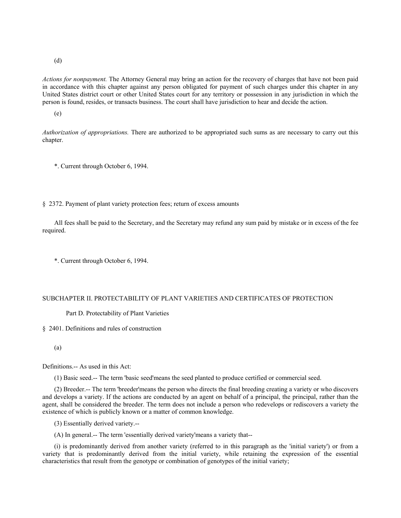(d)

*Actions for nonpayment.* The Attorney General may bring an action for the recovery of charges that have not been paid in accordance with this chapter against any person obligated for payment of such charges under this chapter in any United States district court or other United States court for any territory or possession in any jurisdiction in which the person is found, resides, or transacts business. The court shall have jurisdiction to hear and decide the action.

(e)

*Authorization of appropriations.* There are authorized to be appropriated such sums as are necessary to carry out this chapter.

\*. Current through October 6, 1994.

§ 2372. Payment of plant variety protection fees; return of excess amounts

All fees shall be paid to the Secretary, and the Secretary may refund any sum paid by mistake or in excess of the fee required.

\*. Current through October 6, 1994.

### SUBCHAPTER II. PROTECTABILITY OF PLANT VARIETIES AND CERTIFICATES OF PROTECTION

Part D. Protectability of Plant Varieties

§ 2401. Definitions and rules of construction

(a)

Definitions.-- As used in this Act:

(1) Basic seed.-- The term 'basic seed'means the seed planted to produce certified or commercial seed.

(2) Breeder.-- The term 'breeder'means the person who directs the final breeding creating a variety or who discovers and develops a variety. If the actions are conducted by an agent on behalf of a principal, the principal, rather than the agent, shall be considered the breeder. The term does not include a person who redevelops or rediscovers a variety the existence of which is publicly known or a matter of common knowledge.

(3) Essentially derived variety.--

(A) In general.-- The term 'essentially derived variety'means a variety that--

(i) is predominantly derived from another variety (referred to in this paragraph as the 'initial variety') or from a variety that is predominantly derived from the initial variety, while retaining the expression of the essential characteristics that result from the genotype or combination of genotypes of the initial variety;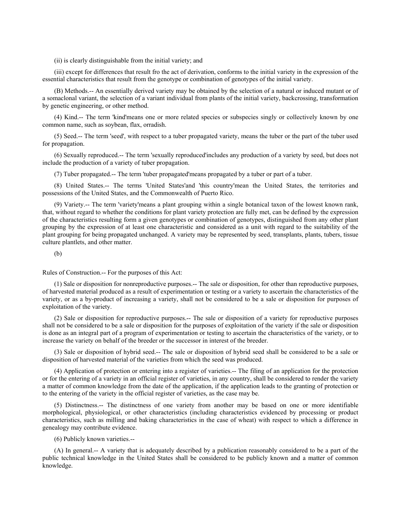(ii) is clearly distinguishable from the initial variety; and

(iii) except for differences that result fro the act of derivation, conforms to the initial variety in the expression of the essential characteristics that result from the genotype or combination of genotypes of the initial variety.

(B) Methods.-- An essentially derived variety may be obtained by the selection of a natural or induced mutant or of a somaclonal variant, the selection of a variant individual from plants of the initial variety, backcrossing, transformation by genetic engineering, or other method.

(4) Kind.-- The term 'kind'means one or more related species or subspecies singly or collectively known by one common name, such as soybean, flax, orradish.

(5) Seed.-- The term 'seed', with respect to a tuber propagated variety, means the tuber or the part of the tuber used for propagation.

(6) Sexually reproduced.-- The term 'sexually reproduced'includes any production of a variety by seed, but does not include the production of a variety of tuber propagation.

(7) Tuber propagated.-- The term 'tuber propagated'means propagated by a tuber or part of a tuber.

(8) United States.-- The terms 'United States'and 'this country'mean the United States, the territories and possessions of the United States, and the Commonwealth of Puerto Rico.

(9) Variety.-- The term 'variety'means a plant grouping within a single botanical taxon of the lowest known rank, that, without regard to whether the conditions for plant variety protection are fully met, can be defined by the expression of the characteristics resulting form a given genotypes or combination of genotypes, distinguished from any other plant grouping by the expression of at least one characteristic and considered as a unit with regard to the suitability of the plant grouping for being propagated unchanged. A variety may be represented by seed, transplants, plants, tubers, tissue culture plantlets, and other matter.

(b)

Rules of Construction.-- For the purposes of this Act:

(1) Sale or disposition for nonreproductive purposes.-- The sale or disposition, for other than reproductive purposes, of harvested material produced as a result of experimentation or testing or a variety to ascertain the characteristics of the variety, or as a by-product of increasing a variety, shall not be considered to be a sale or disposition for purposes of exploitation of the variety.

(2) Sale or disposition for reproductive purposes.-- The sale or disposition of a variety for reproductive purposes shall not be considered to be a sale or disposition for the purposes of exploitation of the variety if the sale or disposition is done as an integral part of a program of experimentation or testing to ascertain the characteristics of the variety, or to increase the variety on behalf of the breeder or the successor in interest of the breeder.

(3) Sale or disposition of hybrid seed.-- The sale or disposition of hybrid seed shall be considered to be a sale or disposition of harvested material of the varieties from which the seed was produced.

(4) Application of protection or entering into a register of varieties.-- The filing of an application for the protection or for the entering of a variety in an official register of varieties, in any country, shall be considered to render the variety a matter of common knowledge from the date of the application, if the application leads to the granting of protection or to the entering of the variety in the official register of varieties, as the case may be.

(5) Distinctness.-- The distinctness of one variety from another may be based on one or more identifiable morphological, physiological, or other characteristics (including characteristics evidenced by processing or product characteristics, such as milling and baking characteristics in the case of wheat) with respect to which a difference in genealogy may contribute evidence.

(6) Publicly known varieties.--

(A) In general.-- A variety that is adequately described by a publication reasonably considered to be a part of the public technical knowledge in the United States shall be considered to be publicly known and a matter of common knowledge.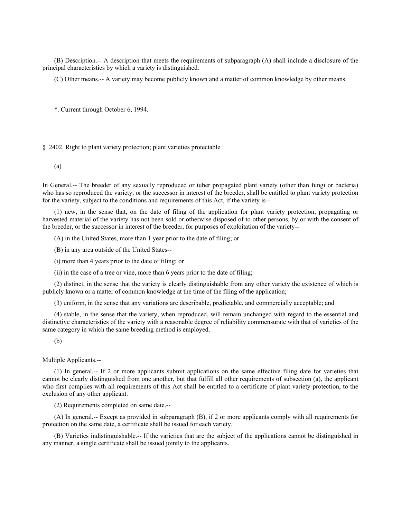(B) Description.-- A description that meets the requirements of subparagraph (A) shall include a disclosure of the principal characteristics by which a variety is distinguished.

(C) Other means.-- A variety may become publicly known and a matter of common knowledge by other means.

\*. Current through October 6, 1994.

## § 2402. Right to plant variety protection; plant varieties protectable

(a)

In General.-- The breeder of any sexually reproduced or tuber propagated plant variety (other than fungi or bacteria) who has so reproduced the variety, or the successor in interest of the breeder, shall be entitled to plant variety protection for the variety, subject to the conditions and requirements of this Act, if the variety is--

(1) new, in the sense that, on the date of filing of the application for plant variety protection, propagating or harvested material of the variety has not been sold or otherwise disposed of to other persons, by or with the consent of the breeder, or the successor in interest of the breeder, for purposes of exploitation of the variety--

(A) in the United States, more than 1 year prior to the date of filing; or

(B) in any area outside of the United States--

(i) more than 4 years prior to the date of filing; or

(ii) in the case of a tree or vine, more than 6 years prior to the date of filing;

(2) distinct, in the sense that the variety is clearly distinguishable from any other variety the existence of which is publicly known or a matter of common knowledge at the time of the filing of the application;

(3) uniform, in the sense that any variations are describable, predictable, and commercially acceptable; and

(4) stable, in the sense that the variety, when reproduced, will remain unchanged with regard to the essential and distinctive characteristics of the variety with a reasonable degree of reliability commensurate with that of varieties of the same category in which the same breeding method is employed.

(b)

Multiple Applicants.--

(1) In general.-- If 2 or more applicants submit applications on the same effective filing date for varieties that cannot be clearly distinguished from one another, but that fulfill all other requirements of subsection (a), the applicant who first complies with all requirements of this Act shall be entitled to a certificate of plant variety protection, to the exclusion of any other applicant.

(2) Requirements completed on same date.--

(A) In general.-- Except as provided in subparagraph (B), if 2 or more applicants comply with all requirements for protection on the same date, a certificate shall be issued for each variety.

(B) Varieties indistinguishable.-- If the varieties that are the subject of the applications cannot be distinguished in any manner, a single certificate shall be issued jointly to the applicants.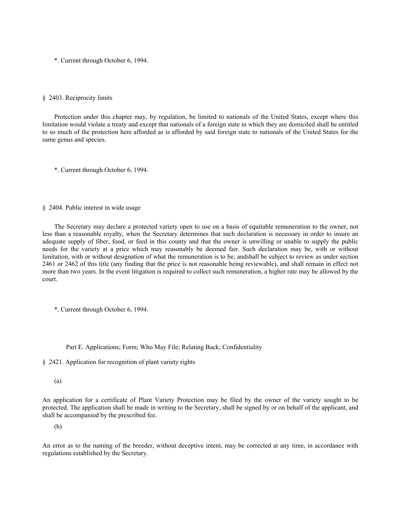### § 2403. Reciprocity limits

Protection under this chapter may, by regulation, be limited to nationals of the United States, except where this limitation would violate a treaty and except that nationals of a foreign state in which they are domiciled shall be entitled to so much of the protection here afforded as is afforded by said foreign state to nationals of the United States for the same genus and species.

\*. Current through October 6, 1994.

### § 2404. Public interest in wide usage

The Secretary may declare a protected variety open to use on a basis of equitable remuneration to the owner, not less than a reasonable royalty, when the Secretary determines that such declaration is necessary in order to insure an adequate supply of fiber, food, or feed in this county and that the owner is unwilling or unable to supply the public needs for the variety at a price which may reasonably be deemed fair. Such declaration may be, with or without limitation, with or without designation of what the remuneration is to be; andshall be subject to review as under section 2461 or 2462 of this title (any finding that the price is not reasonable being reviewable), and shall remain in effect not more than two years. In the event litigation is required to collect such remuneration, a higher rate may be allowed by the court.

\*. Current through October 6, 1994.

Part E. Applications; Form; Who May File; Relating Back; Confidentiality

§ 2421. Application for recognition of plant variety rights

(a)

An application for a certificate of Plant Variety Protection may be filed by the owner of the variety sought to be protected. The application shall be made in writing to the Secretary, shall be signed by or on behalf of the applicant, and shall be accompanied by the prescribed fee.

(b)

An error as to the naming of the breeder, without deceptive intent, may be corrected at any time, in accordance with regulations established by the Secretary.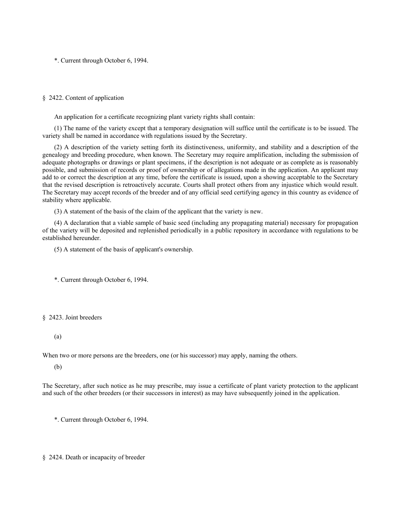### § 2422. Content of application

An application for a certificate recognizing plant variety rights shall contain:

(1) The name of the variety except that a temporary designation will suffice until the certificate is to be issued. The variety shall be named in accordance with regulations issued by the Secretary.

(2) A description of the variety setting forth its distinctiveness, uniformity, and stability and a description of the genealogy and breeding procedure, when known. The Secretary may require amplification, including the submission of adequate photographs or drawings or plant specimens, if the description is not adequate or as complete as is reasonably possible, and submission of records or proof of ownership or of allegations made in the application. An applicant may add to or correct the description at any time, before the certificate is issued, upon a showing acceptable to the Secretary that the revised description is retroactively accurate. Courts shall protect others from any injustice which would result. The Secretary may accept records of the breeder and of any official seed certifying agency in this country as evidence of stability where applicable.

(3) A statement of the basis of the claim of the applicant that the variety is new.

(4) A declaration that a viable sample of basic seed (including any propagating material) necessary for propagation of the variety will be deposited and replenished periodically in a public repository in accordance with regulations to be established hereunder.

(5) A statement of the basis of applicant's ownership.

\*. Current through October 6, 1994.

## § 2423. Joint breeders

#### (a)

When two or more persons are the breeders, one (or his successor) may apply, naming the others.

(b)

The Secretary, after such notice as he may prescribe, may issue a certificate of plant variety protection to the applicant and such of the other breeders (or their successors in interest) as may have subsequently joined in the application.

\*. Current through October 6, 1994.

§ 2424. Death or incapacity of breeder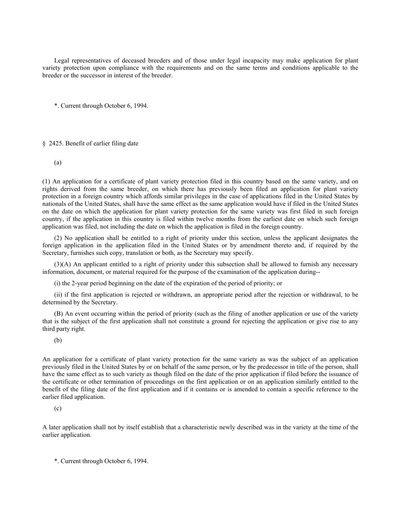Legal representatives of deceased breeders and of those under legal incapacity may make application for plant variety protection upon compliance with the requirements and on the same terms and conditions applicable to the breeder or the successor in interest of the breeder.

\*. Current through October 6, 1994.

# § 2425. Benefit of earlier filing date

(a)

(1) An application for a certificate of plant variety protection filed in this country based on the same variety, and on rights derived from the same breeder, on which there has previously been filed an application for plant variety protection in a foreign country which affords similar privileges in the case of applications filed in the United States by nationals of the United States, shall have the same effect as the same application would have if filed in the United States on the date on which the application for plant variety protection for the same variety was first filed in such foreign country, if the application in this country is filed within twelve months from the earliest date on which such foreign application was filed, not including the date on which the application is filed in the foreign country.

(2) No application shall be entitled to a right of priority under this section, unless the applicant designates the foreign application in the application filed in the United States or by amendment thereto and, if required by the Secretary, furnishes such copy, translation or both, as the Secretary may specify.

(3)(A) An applicant entitled to a right of priority under this subsection shall be allowed to furnish any necessary information, document, or material required for the purpose of the examination of the application during--

(i) the 2-year period beginning on the date of the expiration of the period of priority; or

(ii) if the first application is rejected or withdrawn, an appropriate period after the rejection or withdrawal, to be determined by the Secretary.

(B) An event occurring within the period of priority (such as the filing of another application or use of the variety that is the subject of the first application shall not constitute a ground for rejecting the application or give rise to any third party right.

(b)

An application for a certificate of plant variety protection for the same variety as was the subject of an application previously filed in the United States by or on behalf of the same person, or by the predecessor in title of the person, shall have the same effect as to such variety as though filed on the date of the prior application if filed before the issuance of the certificate or other termination of proceedings on the first application or on an application similarly entitled to the benefit of the filing date of the first application and if it contains or is amended to contain a specific reference to the earlier filed application.

(c)

A later application shall not by itself establish that a characteristic newly described was in the variety at the time of the earlier application.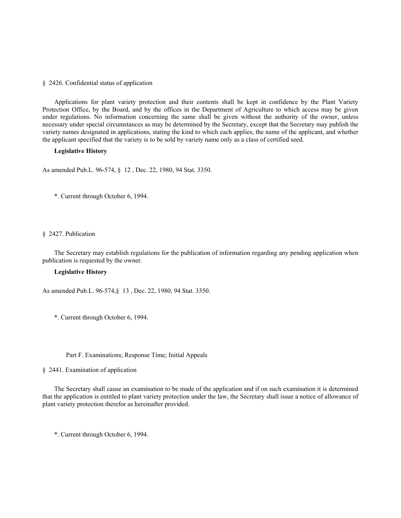#### § 2426. Confidential status of application

Applications for plant variety protection and their contents shall be kept in confidence by the Plant Variety Protection Office, by the Board, and by the offices in the Department of Agriculture to which access may be given under regulations. No information concerning the same shall be given without the authority of the owner, unless necessary under special circumstances as may be determined by the Secretary, except that the Secretary may publish the variety names designated in applications, stating the kind to which each applies, the name of the applicant, and whether the applicant specified that the variety is to be sold by variety name only as a class of certified seed.

### **Legislative History**

As amended Pub.L. 96-574, § 12 , Dec. 22, 1980, 94 Stat. 3350.

\*. Current through October 6, 1994.

## § 2427. Publication

The Secretary may establish regulations for the publication of information regarding any pending application when publication is requested by the owner.

#### **Legislative History**

As amended Pub.L. 96-574,§ 13 , Dec. 22, 1980, 94 Stat. 3350.

\*. Current through October 6, 1994.

### Part F. Examinations; Response Time; Initial Appeals

## § 2441. Examination of application

The Secretary shall cause an examination to be made of the application and if on such examination it is determined that the application is entitled to plant variety protection under the law, the Secretary shall issue a notice of allowance of plant variety protection therefor as hereinafter provided.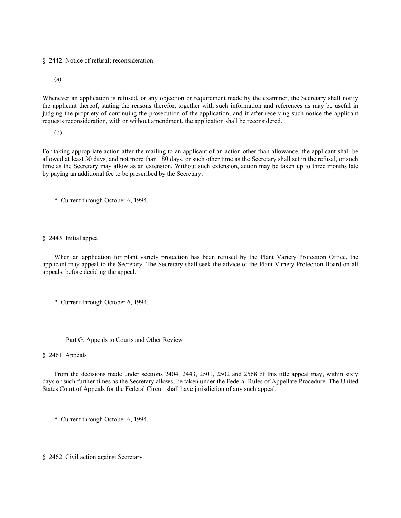§ 2442. Notice of refusal; reconsideration

(a)

Whenever an application is refused, or any objection or requirement made by the examiner, the Secretary shall notify the applicant thereof, stating the reasons therefor, together with such information and references as may be useful in judging the propriety of continuing the prosecution of the application; and if after receiving such notice the applicant requests reconsideration, with or without amendment, the application shall be reconsidered.

(b)

For taking appropriate action after the mailing to an applicant of an action other than allowance, the applicant shall be allowed at least 30 days, and not more than 180 days, or such other time as the Secretary shall set in the refusal, or such time as the Secretary may allow as an extension. Without such extension, action may be taken up to three months late by paying an additional fee to be prescribed by the Secretary.

\*. Current through October 6, 1994.

## § 2443. Initial appeal

When an application for plant variety protection has been refused by the Plant Variety Protection Office, the applicant may appeal to the Secretary. The Secretary shall seek the advice of the Plant Variety Protection Board on all appeals, before deciding the appeal.

- \*. Current through October 6, 1994.
	- Part G. Appeals to Courts and Other Review

§ 2461. Appeals

From the decisions made under sections 2404, 2443, 2501, 2502 and 2568 of this title appeal may, within sixty days or such further times as the Secretary allows, be taken under the Federal Rules of Appellate Procedure. The United States Court of Appeals for the Federal Circuit shall have jurisdiction of any such appeal.

\*. Current through October 6, 1994.

§ 2462. Civil action against Secretary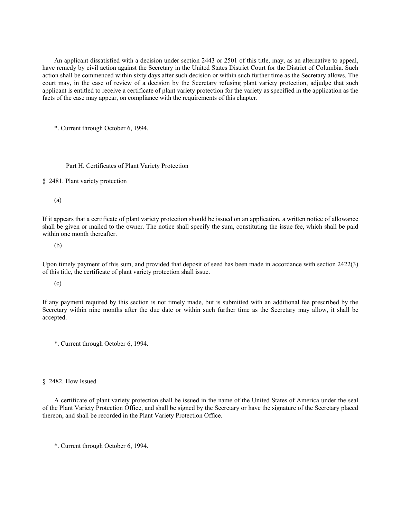An applicant dissatisfied with a decision under section 2443 or 2501 of this title, may, as an alternative to appeal, have remedy by civil action against the Secretary in the United States District Court for the District of Columbia. Such action shall be commenced within sixty days after such decision or within such further time as the Secretary allows. The court may, in the case of review of a decision by the Secretary refusing plant variety protection, adjudge that such applicant is entitled to receive a certificate of plant variety protection for the variety as specified in the application as the facts of the case may appear, on compliance with the requirements of this chapter.

\*. Current through October 6, 1994.

Part H. Certificates of Plant Variety Protection

§ 2481. Plant variety protection

(a)

If it appears that a certificate of plant variety protection should be issued on an application, a written notice of allowance shall be given or mailed to the owner. The notice shall specify the sum, constituting the issue fee, which shall be paid within one month thereafter.

(b)

Upon timely payment of this sum, and provided that deposit of seed has been made in accordance with section 2422(3) of this title, the certificate of plant variety protection shall issue.

(c)

If any payment required by this section is not timely made, but is submitted with an additional fee prescribed by the Secretary within nine months after the due date or within such further time as the Secretary may allow, it shall be accepted.

\*. Current through October 6, 1994.

§ 2482. How Issued

A certificate of plant variety protection shall be issued in the name of the United States of America under the seal of the Plant Variety Protection Office, and shall be signed by the Secretary or have the signature of the Secretary placed thereon, and shall be recorded in the Plant Variety Protection Office.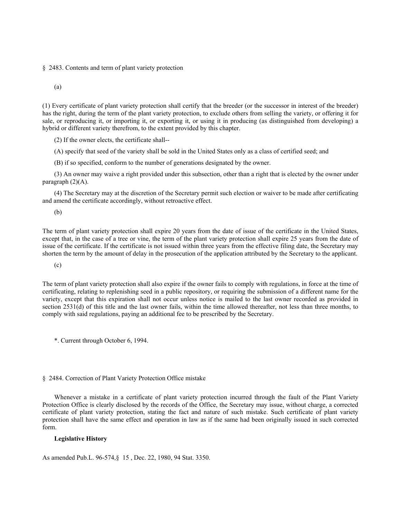§ 2483. Contents and term of plant variety protection

(a)

(1) Every certificate of plant variety protection shall certify that the breeder (or the successor in interest of the breeder) has the right, during the term of the plant variety protection, to exclude others from selling the variety, or offering it for sale, or reproducing it, or importing it, or exporting it, or using it in producing (as distinguished from developing) a hybrid or different variety therefrom, to the extent provided by this chapter.

(2) If the owner elects, the certificate shall--

(A) specify that seed of the variety shall be sold in the United States only as a class of certified seed; and

(B) if so specified, conform to the number of generations designated by the owner.

(3) An owner may waive a right provided under this subsection, other than a right that is elected by the owner under paragraph  $(2)(A)$ .

(4) The Secretary may at the discretion of the Secretary permit such election or waiver to be made after certificating and amend the certificate accordingly, without retroactive effect.

(b)

The term of plant variety protection shall expire 20 years from the date of issue of the certificate in the United States, except that, in the case of a tree or vine, the term of the plant variety protection shall expire 25 years from the date of issue of the certificate. If the certificate is not issued within three years from the effective filing date, the Secretary may shorten the term by the amount of delay in the prosecution of the application attributed by the Secretary to the applicant.

(c)

The term of plant variety protection shall also expire if the owner fails to comply with regulations, in force at the time of certificating, relating to replenishing seed in a public repository, or requiring the submission of a different name for the variety, except that this expiration shall not occur unless notice is mailed to the last owner recorded as provided in section 2531(d) of this title and the last owner fails, within the time allowed thereafter, not less than three months, to comply with said regulations, paying an additional fee to be prescribed by the Secretary.

\*. Current through October 6, 1994.

## § 2484. Correction of Plant Variety Protection Office mistake

Whenever a mistake in a certificate of plant variety protection incurred through the fault of the Plant Variety Protection Office is clearly disclosed by the records of the Office, the Secretary may issue, without charge, a corrected certificate of plant variety protection, stating the fact and nature of such mistake. Such certificate of plant variety protection shall have the same effect and operation in law as if the same had been originally issued in such corrected form.

## **Legislative History**

As amended Pub.L. 96-574,§ 15 , Dec. 22, 1980, 94 Stat. 3350.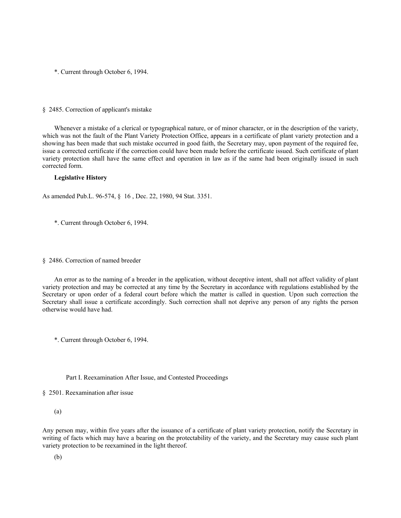#### § 2485. Correction of applicant's mistake

Whenever a mistake of a clerical or typographical nature, or of minor character, or in the description of the variety, which was not the fault of the Plant Variety Protection Office, appears in a certificate of plant variety protection and a showing has been made that such mistake occurred in good faith, the Secretary may, upon payment of the required fee, issue a corrected certificate if the correction could have been made before the certificate issued. Such certificate of plant variety protection shall have the same effect and operation in law as if the same had been originally issued in such corrected form.

## **Legislative History**

As amended Pub.L. 96-574, § 16 , Dec. 22, 1980, 94 Stat. 3351.

\*. Current through October 6, 1994.

#### § 2486. Correction of named breeder

An error as to the naming of a breeder in the application, without deceptive intent, shall not affect validity of plant variety protection and may be corrected at any time by the Secretary in accordance with regulations established by the Secretary or upon order of a federal court before which the matter is called in question. Upon such correction the Secretary shall issue a certificate accordingly. Such correction shall not deprive any person of any rights the person otherwise would have had.

\*. Current through October 6, 1994.

Part I. Reexamination After Issue, and Contested Proceedings

§ 2501. Reexamination after issue

(a)

Any person may, within five years after the issuance of a certificate of plant variety protection, notify the Secretary in writing of facts which may have a bearing on the protectability of the variety, and the Secretary may cause such plant variety protection to be reexamined in the light thereof.

(b)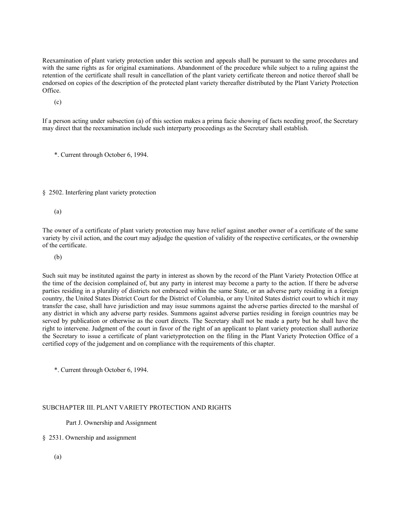Reexamination of plant variety protection under this section and appeals shall be pursuant to the same procedures and with the same rights as for original examinations. Abandonment of the procedure while subject to a ruling against the retention of the certificate shall result in cancellation of the plant variety certificate thereon and notice thereof shall be endorsed on copies of the description of the protected plant variety thereafter distributed by the Plant Variety Protection Office.

(c)

If a person acting under subsection (a) of this section makes a prima facie showing of facts needing proof, the Secretary may direct that the reexamination include such interparty proceedings as the Secretary shall establish.

\*. Current through October 6, 1994.

§ 2502. Interfering plant variety protection

(a)

The owner of a certificate of plant variety protection may have relief against another owner of a certificate of the same variety by civil action, and the court may adjudge the question of validity of the respective certificates, or the ownership of the certificate.

(b)

Such suit may be instituted against the party in interest as shown by the record of the Plant Variety Protection Office at the time of the decision complained of, but any party in interest may become a party to the action. If there be adverse parties residing in a plurality of districts not embraced within the same State, or an adverse party residing in a foreign country, the United States District Court for the District of Columbia, or any United States district court to which it may transfer the case, shall have jurisdiction and may issue summons against the adverse parties directed to the marshal of any district in which any adverse party resides. Summons against adverse parties residing in foreign countries may be served by publication or otherwise as the court directs. The Secretary shall not be made a party but he shall have the right to intervene. Judgment of the court in favor of the right of an applicant to plant variety protection shall authorize the Secretary to issue a certificate of plant varietyprotection on the filing in the Plant Variety Protection Office of a certified copy of the judgement and on compliance with the requirements of this chapter.

\*. Current through October 6, 1994.

# SUBCHAPTER III. PLANT VARIETY PROTECTION AND RIGHTS

Part J. Ownership and Assignment

# § 2531. Ownership and assignment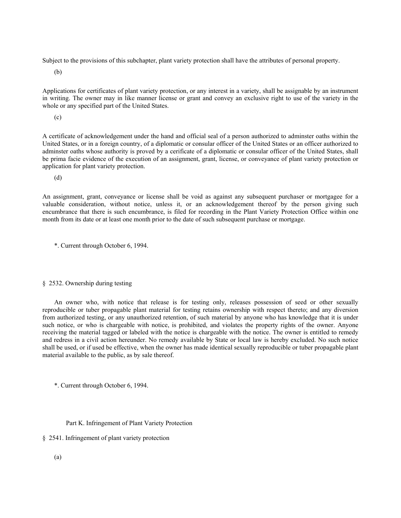Subject to the provisions of this subchapter, plant variety protection shall have the attributes of personal property.

(b)

Applications for certificates of plant variety protection, or any interest in a variety, shall be assignable by an instrument in writing. The owner may in like manner license or grant and convey an exclusive right to use of the variety in the whole or any specified part of the United States.

(c)

A certificate of acknowledgement under the hand and official seal of a person authorized to adminster oaths within the United States, or in a foreign country, of a diplomatic or consular officer of the United States or an officer authorized to adminster oaths whose authority is proved by a cerificate of a diplomatic or consular officer of the United States, shall be prima facie evidence of the execution of an assignment, grant, license, or conveyance of plant variety protection or application for plant variety protection.

(d)

An assignment, grant, conveyance or license shall be void as against any subsequent purchaser or mortgagee for a valuable consideration, without notice, unless it, or an acknowledgement thereof by the person giving such encumbrance that there is such encumbrance, is filed for recording in the Plant Variety Protection Office within one month from its date or at least one month prior to the date of such subsequent purchase or mortgage.

\*. Current through October 6, 1994.

# § 2532. Ownership during testing

An owner who, with notice that release is for testing only, releases possession of seed or other sexually reproducible or tuber propagable plant material for testing retains ownership with respect thereto; and any diversion from authorized testing, or any unauthorized retention, of such material by anyone who has knowledge that it is under such notice, or who is chargeable with notice, is prohibited, and violates the property rights of the owner. Anyone receiving the material tagged or labeled with the notice is chargeable with the notice. The owner is entitled to remedy and redress in a civil action hereunder. No remedy available by State or local law is hereby excluded. No such notice shall be used, or if used be effective, when the owner has made identical sexually reproducible or tuber propagable plant material available to the public, as by sale thereof.

\*. Current through October 6, 1994.

## Part K. Infringement of Plant Variety Protection

- § 2541. Infringement of plant variety protection
	- (a)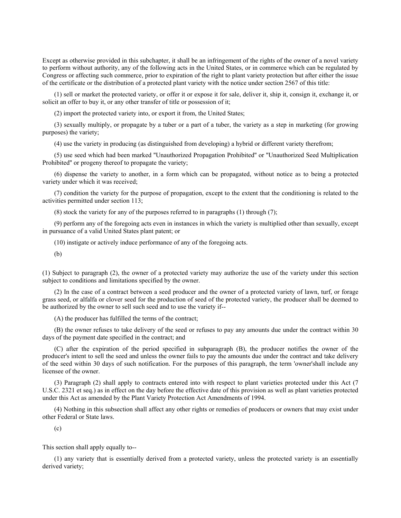Except as otherwise provided in this subchapter, it shall be an infringement of the rights of the owner of a novel variety to perform without authority, any of the following acts in the United States, or in commerce which can be regulated by Congress or affecting such commerce, prior to expiration of the right to plant variety protection but after either the issue of the certificate or the distribution of a protected plant variety with the notice under section 2567 of this title:

(1) sell or market the protected variety, or offer it or expose it for sale, deliver it, ship it, consign it, exchange it, or solicit an offer to buy it, or any other transfer of title or possession of it;

(2) import the protected variety into, or export it from, the United States;

(3) sexually multiply, or propagate by a tuber or a part of a tuber, the variety as a step in marketing (for growing purposes) the variety;

(4) use the variety in producing (as distinguished from developing) a hybrid or different variety therefrom;

(5) use seed which had been marked ''Unauthorized Propagation Prohibited'' or ''Unauthorized Seed Multiplication Prohibited'' or progeny thereof to propagate the variety;

(6) dispense the variety to another, in a form which can be propagated, without notice as to being a protected variety under which it was received;

(7) condition the variety for the purpose of propagation, except to the extent that the conditioning is related to the activities permitted under section 113;

(8) stock the variety for any of the purposes referred to in paragraphs (1) through (7);

(9) perform any of the foregoing acts even in instances in which the variety is multiplied other than sexually, except in pursuance of a valid United States plant patent; or

(10) instigate or actively induce performance of any of the foregoing acts.

(b)

(1) Subject to paragraph (2), the owner of a protected variety may authorize the use of the variety under this section subject to conditions and limitations specified by the owner.

(2) In the case of a contract between a seed producer and the owner of a protected variety of lawn, turf, or forage grass seed, or alfalfa or clover seed for the production of seed of the protected variety, the producer shall be deemed to be authorized by the owner to sell such seed and to use the variety if--

(A) the producer has fulfilled the terms of the contract;

(B) the owner refuses to take delivery of the seed or refuses to pay any amounts due under the contract within 30 days of the payment date specified in the contract; and

(C) after the expiration of the period specified in subparagraph (B), the producer notifies the owner of the producer's intent to sell the seed and unless the owner fails to pay the amounts due under the contract and take delivery of the seed within 30 days of such notification. For the purposes of this paragraph, the term 'owner'shall include any licensee of the owner.

(3) Paragraph (2) shall apply to contracts entered into with respect to plant varieties protected under this Act (7 U.S.C. 2321 et seq.) as in effect on the day before the effective date of this provision as well as plant varieties protected under this Act as amended by the Plant Variety Protection Act Amendments of 1994.

(4) Nothing in this subsection shall affect any other rights or remedies of producers or owners that may exist under other Federal or State laws.

(c)

This section shall apply equally to--

(1) any variety that is essentially derived from a protected variety, unless the protected variety is an essentially derived variety;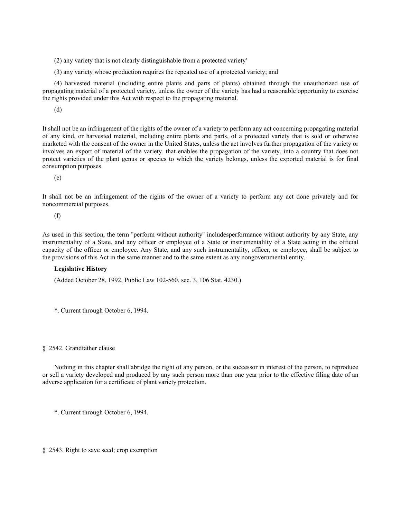(2) any variety that is not clearly distinguishable from a protected variety'

(3) any variety whose production requires the repeated use of a protected variety; and

(4) harvested material (including entire plants and parts of plants) obtained through the unauthorized use of propagating material of a protected variety, unless the owner of the variety has had a reasonable opportunity to exercise the rights provided under this Act with respect to the propagating material.

(d)

It shall not be an infringement of the rights of the owner of a variety to perform any act concerning propagating material of any kind, or harvested material, including entire plants and parts, of a protected variety that is sold or otherwise marketed with the consent of the owner in the United States, unless the act involves further propagation of the variety or involves an export of material of the variety, that enables the propagation of the variety, into a country that does not protect varieties of the plant genus or species to which the variety belongs, unless the exported material is for final consumption purposes.

(e)

It shall not be an infringement of the rights of the owner of a variety to perform any act done privately and for noncommercial purposes.

(f)

As used in this section, the term ''perform without authority'' includesperformance without authority by any State, any instrumentality of a State, and any officer or employee of a State or instrumentalilty of a State acting in the official capacity of the officer or employee. Any State, and any such instrumentality, officer, or employee, shall be subject to the provisions of this Act in the same manner and to the same extent as any nongovernmental entity.

## **Legislative History**

(Added October 28, 1992, Public Law 102-560, sec. 3, 106 Stat. 4230.)

\*. Current through October 6, 1994.

#### § 2542. Grandfather clause

Nothing in this chapter shall abridge the right of any person, or the successor in interest of the person, to reproduce or sell a variety developed and produced by any such person more than one year prior to the effective filing date of an adverse application for a certificate of plant variety protection.

\*. Current through October 6, 1994.

§ 2543. Right to save seed; crop exemption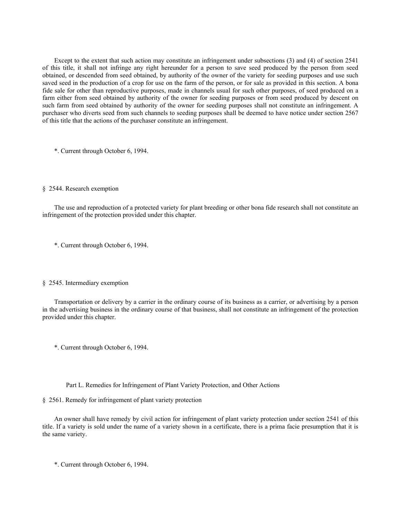Except to the extent that such action may constitute an infringement under subsections (3) and (4) of section 2541 of this title, it shall not infringe any right hereunder for a person to save seed produced by the person from seed obtained, or descended from seed obtained, by authority of the owner of the variety for seeding purposes and use such saved seed in the production of a crop for use on the farm of the person, or for sale as provided in this section. A bona fide sale for other than reproductive purposes, made in channels usual for such other purposes, of seed produced on a farm either from seed obtained by authority of the owner for seeding purposes or from seed produced by descent on such farm from seed obtained by authority of the owner for seeding purposes shall not constitute an infringement. A purchaser who diverts seed from such channels to seeding purposes shall be deemed to have notice under section 2567 of this title that the actions of the purchaser constitute an infringement.

\*. Current through October 6, 1994.

### § 2544. Research exemption

The use and reproduction of a protected variety for plant breeding or other bona fide research shall not constitute an infringement of the protection provided under this chapter.

\*. Current through October 6, 1994.

#### § 2545. Intermediary exemption

Transportation or delivery by a carrier in the ordinary course of its business as a carrier, or advertising by a person in the advertising business in the ordinary course of that business, shall not constitute an infringement of the protection provided under this chapter.

\*. Current through October 6, 1994.

Part L. Remedies for Infringement of Plant Variety Protection, and Other Actions

§ 2561. Remedy for infringement of plant variety protection

An owner shall have remedy by civil action for infringement of plant variety protection under section 2541 of this title. If a variety is sold under the name of a variety shown in a certificate, there is a prima facie presumption that it is the same variety.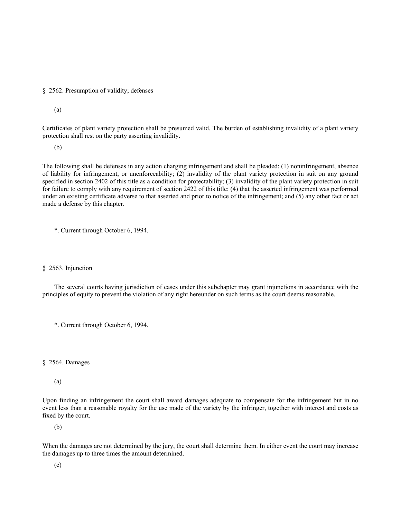§ 2562. Presumption of validity; defenses

(a)

Certificates of plant variety protection shall be presumed valid. The burden of establishing invalidity of a plant variety protection shall rest on the party asserting invalidity.

(b)

The following shall be defenses in any action charging infringement and shall be pleaded: (1) noninfringement, absence of liability for infringement, or unenforceability; (2) invalidity of the plant variety protection in suit on any ground specified in section 2402 of this title as a condition for protectability; (3) invalidity of the plant variety protection in suit for failure to comply with any requirement of section 2422 of this title: (4) that the asserted infringement was performed under an existing certificate adverse to that asserted and prior to notice of the infringement; and (5) any other fact or act made a defense by this chapter.

\*. Current through October 6, 1994.

#### § 2563. Injunction

The several courts having jurisdiction of cases under this subchapter may grant injunctions in accordance with the principles of equity to prevent the violation of any right hereunder on such terms as the court deems reasonable.

\*. Current through October 6, 1994.

## § 2564. Damages

# (a)

Upon finding an infringement the court shall award damages adequate to compensate for the infringement but in no event less than a reasonable royalty for the use made of the variety by the infringer, together with interest and costs as fixed by the court.

(b)

When the damages are not determined by the jury, the court shall determine them. In either event the court may increase the damages up to three times the amount determined.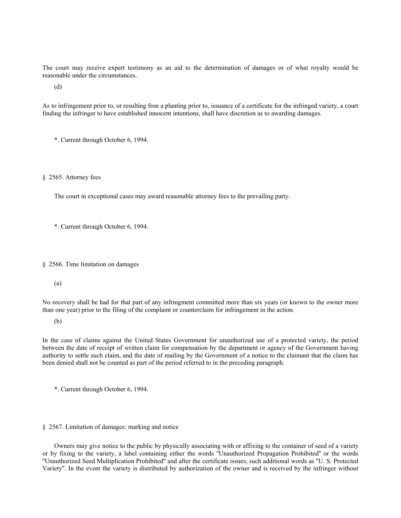The court may receive expert testimony as an aid to the determination of damages or of what royalty would be reasonable under the circumstances.

(d)

As to infringement prior to, or resulting fron a planting prior to, issuance of a certificate for the infringed variety, a court finding the infringer to have established innocent intentions, shall have discretion as to awarding damages.

\*. Current through October 6, 1994.

§ 2565. Attorney fees

The court in exceptional cases may award reasonable attorney fees to the prevailing party.

\*. Current through October 6, 1994.

§ 2566. Time limitation on damages

(a)

No recovery shall be had for that part of any infringment committed more than six years (or known to the owner more than one year) prior to the filing of the complaint or counterclaim for infringement in the action.

(b)

In the case of claims against the United States Government for unauthorized use of a protected variety, the period between the date of receipt of written claim for compensation by the department or agency of the Government having authority to settle such claim, and the date of mailing by the Government of a notice to the claimant that the claim has been denied shall not be counted as part of the period referred to in the preceding paragraph.

\*. Current through October 6, 1994.

§ 2567. Limitation of damages: marking and notice

Owners may give notice to the public by physically associating with or affixing to the container of seed of a variety or by fixing to the variety, a label containing either the words ''Unauthorized Propagation Prohibited'' or the words ''Unauthorized Seed Multiplication Prohibited'' and after the certificate issues, such additional words as ''U. S. Protected Variety''. In the event the variety is distributed by authorization of the owner and is received by the infringer without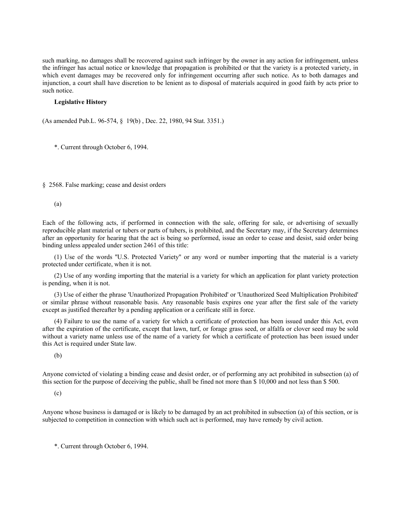such marking, no damages shall be recovered against such infringer by the owner in any action for infringement, unless the infringer has actual notice or knowledge that propagation is prohibited or that the variety is a protected variety, in which event damages may be recovered only for infringement occurring after such notice. As to both damages and injunction, a court shall have discretion to be lenient as to disposal of materials acquired in good faith by acts prior to such notice.

### **Legislative History**

(As amended Pub.L. 96-574, § 19(b) , Dec. 22, 1980, 94 Stat. 3351.)

\*. Current through October 6, 1994.

§ 2568. False marking; cease and desist orders

(a)

Each of the following acts, if performed in connection with the sale, offering for sale, or advertising of sexually reproducible plant material or tubers or parts of tubers, is prohibited, and the Secretary may, if the Secretary determines after an opportunity for hearing that the act is being so performed, issue an order to cease and desist, said order being binding unless appealed under section 2461 of this title:

(1) Use of the words ''U.S. Protected Variety'' or any word or number importing that the material is a variety protected under certificate, when it is not.

(2) Use of any wording importing that the material is a variety for which an application for plant variety protection is pending, when it is not.

(3) Use of either the phrase 'Unauthorized Propagation Prohibited' or 'Unauthorized Seed Multiplication Prohibited' or similar phrase without reasonable basis. Any reasonable basis expires one year after the first sale of the variety except as justified thereafter by a pending application or a cerificate still in force.

(4) Failure to use the name of a variety for which a certificate of protection has been issued under this Act, even after the expiration of the certificate, except that lawn, turf, or forage grass seed, or alfalfa or clover seed may be sold without a variety name unless use of the name of a variety for which a certificate of protection has been issued under this Act is required under State law.

(b)

Anyone convicted of violating a binding cease and desist order, or of performing any act prohibited in subsection (a) of this section for the purpose of deceiving the public, shall be fined not more than \$ 10,000 and not less than \$ 500.

(c)

Anyone whose business is damaged or is likely to be damaged by an act prohibited in subsection (a) of this section, or is subjected to competition in connection with which such act is performed, may have remedy by civil action.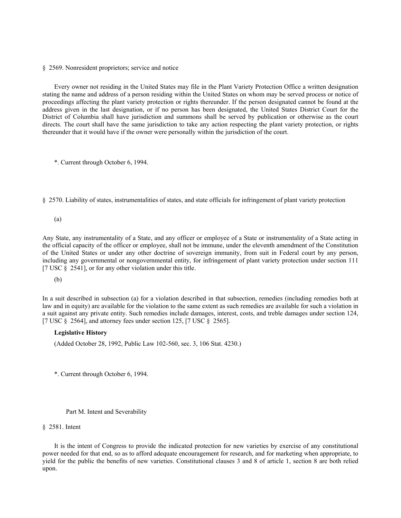#### § 2569. Nonresident proprietors; service and notice

Every owner not residing in the United States may file in the Plant Variety Protection Office a written designation stating the name and address of a person residing within the United States on whom may be served process or notice of proceedings affecting the plant variety protection or rights thereunder. If the person designated cannot be found at the address given in the last designation, or if no person has been designated, the United States District Court for the District of Columbia shall have jurisdiction and summons shall be served by publication or otherwise as the court directs. The court shall have the same jurisdiction to take any action respecting the plant variety protection, or rights thereunder that it would have if the owner were personally within the jurisdiction of the court.

\*. Current through October 6, 1994.

§ 2570. Liability of states, instrumentalities of states, and state officials for infringement of plant variety protection

(a)

Any State, any instrumentality of a State, and any officer or employee of a State or instrumentality of a State acting in the official capacity of the officer or employee, shall not be immune, under the eleventh amendment of the Constitution of the United States or under any other doctrine of sovereign immunity, from suit in Federal court by any person, including any governmental or nongovernmental entity, for infringement of plant variety protection under section 111 [7 USC § 2541], or for any other violation under this title.

(b)

In a suit described in subsection (a) for a violation described in that subsection, remedies (including remedies both at law and in equity) are available for the violation to the same extent as such remedies are available for such a violation in a suit against any private entity. Such remedies include damages, interest, costs, and treble damages under section 124, [7 USC § 2564], and attorney fees under section 125, [7 USC § 2565].

## **Legislative History**

(Added October 28, 1992, Public Law 102-560, sec. 3, 106 Stat. 4230.)

\*. Current through October 6, 1994.

## Part M. Intent and Severability

### § 2581. Intent

It is the intent of Congress to provide the indicated protection for new varieties by exercise of any constitutional power needed for that end, so as to afford adequate encouragement for research, and for marketing when appropriate, to yield for the public the benefits of new varieties. Constitutional clauses 3 and 8 of article 1, section 8 are both relied upon.